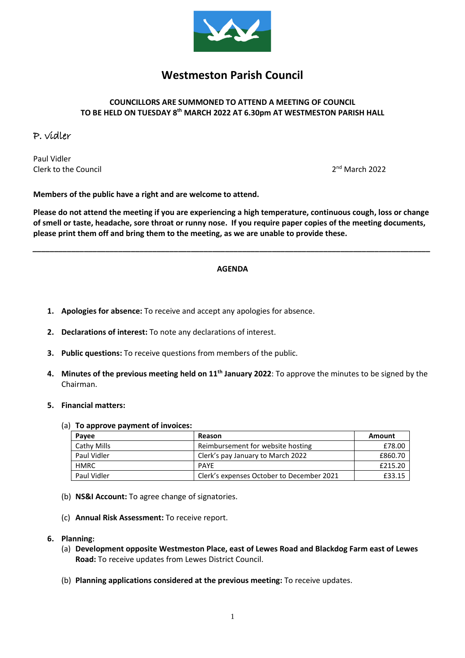

# **Westmeston Parish Council**

## **COUNCILLORS ARE SUMMONED TO ATTEND A MEETING OF COUNCIL TO BE HELD ON TUESDAY 8 th MARCH 2022 AT 6.30pm AT WESTMESTON PARISH HALL**

# P. vidler

Paul Vidler Clerk to the Council 2

 $2<sup>nd</sup>$  March 2022

**Members of the public have a right and are welcome to attend.**

**Please do not attend the meeting if you are experiencing a high temperature, continuous cough, loss or change of smell or taste, headache, sore throat or runny nose. If you require paper copies of the meeting documents, please print them off and bring them to the meeting, as we are unable to provide these.**

#### **AGENDA**

*\_\_\_\_\_\_\_\_\_\_\_\_\_\_\_\_\_\_\_\_\_\_\_\_\_\_\_\_\_\_\_\_\_\_\_\_\_\_\_\_\_\_\_\_\_\_\_\_\_\_\_\_\_\_\_\_\_\_\_\_\_\_\_\_\_\_\_\_\_\_\_\_\_\_\_\_\_\_\_\_\_\_\_\_\_\_\_\_\_\_\_\_\_*

- **1. Apologies for absence:** To receive and accept any apologies for absence.
- **2. Declarations of interest:** To note any declarations of interest.
- **3. Public questions:** To receive questions from members of the public.
- **4. Minutes of the previous meeting held on 11th January 2022**: To approve the minutes to be signed by the Chairman.
- **5. Financial matters:**

#### (a) **To approve payment of invoices:**

| Payee       | Reason                                    | Amount  |
|-------------|-------------------------------------------|---------|
| Cathy Mills | Reimbursement for website hosting         | £78.00  |
| Paul Vidler | Clerk's pay January to March 2022         | £860.70 |
| HMRC        | <b>PAYF</b>                               | £215.20 |
| Paul Vidler | Clerk's expenses October to December 2021 | £33.15  |

- (b) **NS&I Account:** To agree change of signatories.
- (c) **Annual Risk Assessment:** To receive report.
- **6. Planning:** 
	- (a) **Development opposite Westmeston Place, east of Lewes Road and Blackdog Farm east of Lewes Road:** To receive updates from Lewes District Council.
	- (b) **Planning applications considered at the previous meeting:** To receive updates.